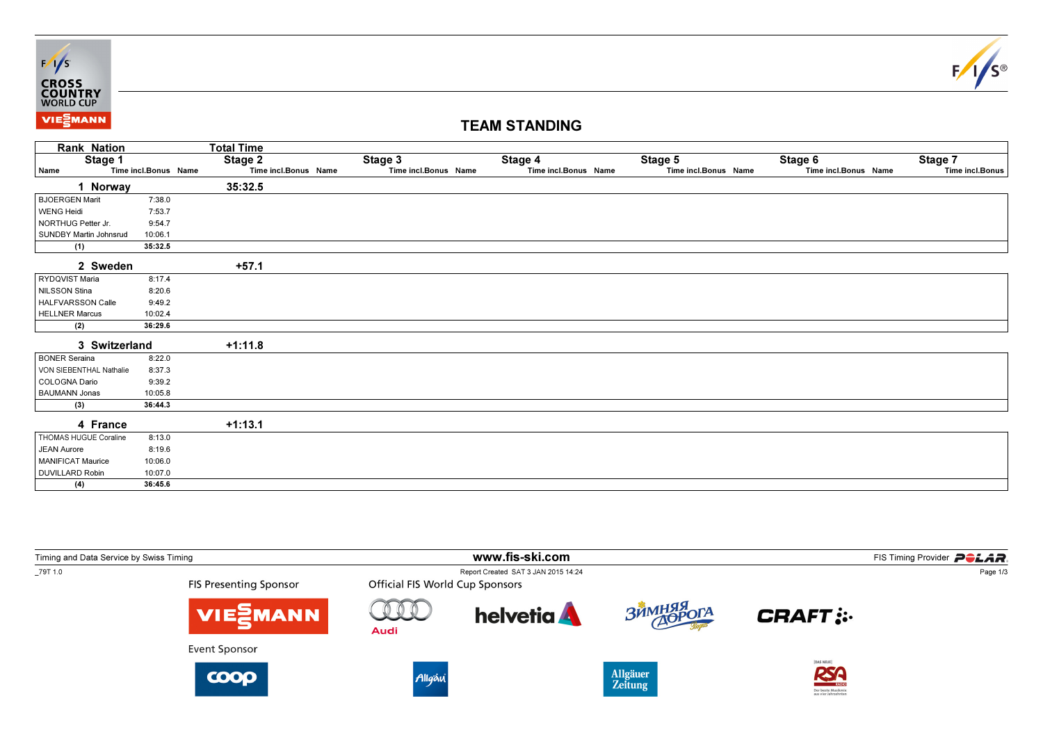



## TEAM STANDING

| <b>Rank Nation</b>            |                      | <b>Total Time</b>    |                      |                      |                      |                      |                 |
|-------------------------------|----------------------|----------------------|----------------------|----------------------|----------------------|----------------------|-----------------|
| Stage 1                       |                      | Stage 2              | Stage 3              | Stage 4              | Stage 5              | Stage 6              | Stage 7         |
| Name                          | Time incl.Bonus Name | Time incl.Bonus Name | Time incl.Bonus Name | Time incl.Bonus Name | Time incl.Bonus Name | Time incl.Bonus Name | Time incl.Bonus |
| 1 Norway                      |                      | 35:32.5              |                      |                      |                      |                      |                 |
| BJOERGEN Marit                | 7:38.0               |                      |                      |                      |                      |                      |                 |
| <b>WENG Heidi</b>             | 7:53.7               |                      |                      |                      |                      |                      |                 |
| NORTHUG Petter Jr.            | 9:54.7               |                      |                      |                      |                      |                      |                 |
| <b>SUNDBY Martin Johnsrud</b> | 10:06.1              |                      |                      |                      |                      |                      |                 |
| (1)                           | 35:32.5              |                      |                      |                      |                      |                      |                 |
| 2 Sweden                      |                      | $+57.1$              |                      |                      |                      |                      |                 |
| RYDQVIST Maria                | 8:17.4               |                      |                      |                      |                      |                      |                 |
| NILSSON Stina                 | 8:20.6               |                      |                      |                      |                      |                      |                 |
| HALFVARSSON Calle             | 9:49.2               |                      |                      |                      |                      |                      |                 |
| <b>HELLNER Marcus</b>         | 10:02.4              |                      |                      |                      |                      |                      |                 |
| (2)                           | 36:29.6              |                      |                      |                      |                      |                      |                 |
| 3 Switzerland                 |                      | $+1:11.8$            |                      |                      |                      |                      |                 |
| BONER Seraina                 | 8:22.0               |                      |                      |                      |                      |                      |                 |
| VON SIEBENTHAL Nathalie       | 8:37.3               |                      |                      |                      |                      |                      |                 |
| COLOGNA Dario                 | 9:39.2               |                      |                      |                      |                      |                      |                 |
| BAUMANN Jonas                 | 10:05.8              |                      |                      |                      |                      |                      |                 |
| (3)                           | 36:44.3              |                      |                      |                      |                      |                      |                 |
| 4 France                      |                      | $+1:13.1$            |                      |                      |                      |                      |                 |
| THOMAS HUGUE Coraline         | 8:13.0               |                      |                      |                      |                      |                      |                 |
| <b>JEAN Aurore</b>            | 8:19.6               |                      |                      |                      |                      |                      |                 |
| <b>MANIFICAT Maurice</b>      | 10:06.0              |                      |                      |                      |                      |                      |                 |
| <b>DUVILLARD Robin</b>        | 10:07.0              |                      |                      |                      |                      |                      |                 |
| (4)                           | 36:45.6              |                      |                      |                      |                      |                      |                 |

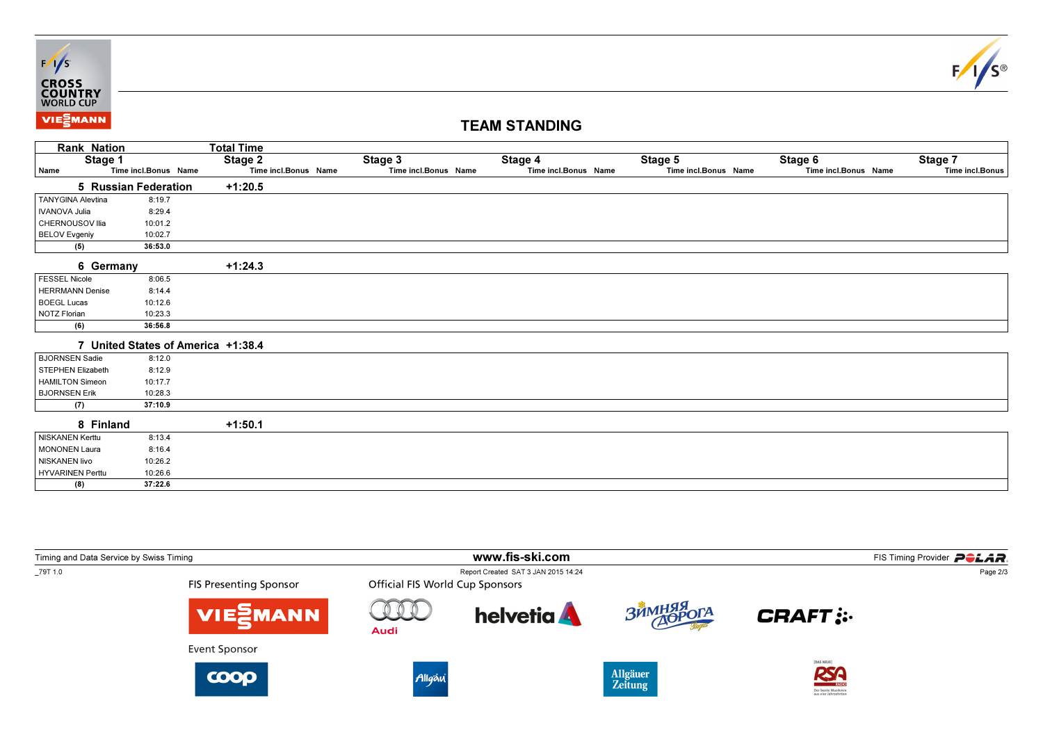



## TEAM STANDING

|                                    | <b>Rank Nation</b>   | <b>Total Time</b>    |                      |                      |                      |                      |                 |
|------------------------------------|----------------------|----------------------|----------------------|----------------------|----------------------|----------------------|-----------------|
|                                    | Stage 1              | Stage 2              | Stage 3              | Stage 4              | Stage 5              | Stage 6              | Stage 7         |
| Name                               | Time incl.Bonus Name | Time incl.Bonus Name | Time incl.Bonus Name | Time incl.Bonus Name | Time incl.Bonus Name | Time incl.Bonus Name | Time incl.Bonus |
| <b>5 Russian Federation</b>        |                      | $+1:20.5$            |                      |                      |                      |                      |                 |
| <b>TANYGINA Alevtina</b>           | 8:19.7               |                      |                      |                      |                      |                      |                 |
| <b>IVANOVA Julia</b>               | 8:29.4               |                      |                      |                      |                      |                      |                 |
| CHERNOUSOV Ilia                    | 10:01.2              |                      |                      |                      |                      |                      |                 |
| <b>BELOV Evgeniy</b>               | 10:02.7              |                      |                      |                      |                      |                      |                 |
| (5)                                | 36:53.0              |                      |                      |                      |                      |                      |                 |
| 6 Germany                          |                      | $+1:24.3$            |                      |                      |                      |                      |                 |
| FESSEL Nicole                      | 8:06.5               |                      |                      |                      |                      |                      |                 |
| <b>HERRMANN Denise</b>             | 8:14.4               |                      |                      |                      |                      |                      |                 |
| <b>BOEGL Lucas</b>                 | 10:12.6              |                      |                      |                      |                      |                      |                 |
| <b>NOTZ Florian</b>                | 10:23.3              |                      |                      |                      |                      |                      |                 |
| (6)                                | 36:56.8              |                      |                      |                      |                      |                      |                 |
| 7 United States of America +1:38.4 |                      |                      |                      |                      |                      |                      |                 |
| BJORNSEN Sadie                     | 8:12.0               |                      |                      |                      |                      |                      |                 |
| <b>STEPHEN Elizabeth</b>           | 8:12.9               |                      |                      |                      |                      |                      |                 |
| <b>HAMILTON Simeon</b>             | 10:17.7              |                      |                      |                      |                      |                      |                 |
| <b>BJORNSEN Erik</b>               | 10:28.3              |                      |                      |                      |                      |                      |                 |
| (7)                                | 37:10.9              |                      |                      |                      |                      |                      |                 |
| 8 Finland                          |                      | $+1:50.1$            |                      |                      |                      |                      |                 |
| <b>NISKANEN Kerttu</b>             | 8:13.4               |                      |                      |                      |                      |                      |                 |
| <b>MONONEN Laura</b>               | 8:16.4               |                      |                      |                      |                      |                      |                 |
| NISKANEN livo                      | 10:26.2              |                      |                      |                      |                      |                      |                 |
| <b>HYVARINEN Perttu</b>            | 10:26.6              |                      |                      |                      |                      |                      |                 |
| (8)                                | 37:22.6              |                      |                      |                      |                      |                      |                 |